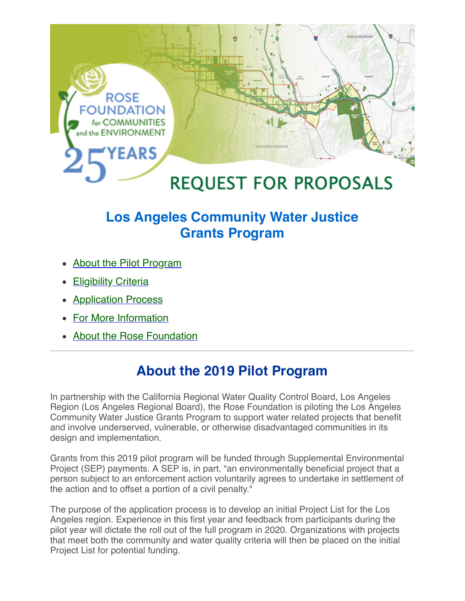

### **Los Angeles Community Water Justice Grants Program**

- About the Pilot Program
- Eligibility Criteria
- **Application Process**
- For More Information
- About the Rose Foundation

### **About the 2019 Pilot Program**

In partnership with the California Regional Water Quality Control Board, Los Angeles Region (Los Angeles Regional Board), the Rose Foundation is piloting the Los Angeles Community Water Justice Grants Program to support water related projects that benefit and involve underserved, vulnerable, or otherwise disadvantaged communities in its design and implementation.

Grants from this 2019 pilot program will be funded through Supplemental Environmental Project (SEP) payments. A SEP is, in part, "an environmentally beneficial project that a person subject to an enforcement action voluntarily agrees to undertake in settlement of the action and to offset a portion of a civil penalty."

The purpose of the application process is to develop an initial Project List for the Los Angeles region. Experience in this first year and feedback from participants during the pilot year will dictate the roll out of the full program in 2020. Organizations with projects that meet both the community and water quality criteria will then be placed on the initial Project List for potential funding.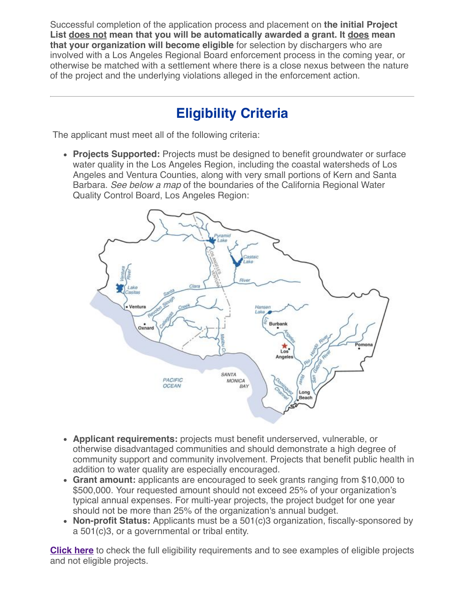Successful completion of the application process and placement on **the initial Project List does not mean that you will be automatically awarded a grant. It does mean that your organization will become eligible** for selection by dischargers who are involved with a Los Angeles Regional Board enforcement process in the coming year, or otherwise be matched with a settlement where there is a close nexus between the nature of the project and the underlying violations alleged in the enforcement action.

# **Eligibility Criteria**

The applicant must meet all of the following criteria:

**Projects Supported:** Projects must be designed to benefit groundwater or surface water quality in the Los Angeles Region, including the coastal watersheds of Los Angeles and Ventura Counties, along with very small portions of Kern and Santa Barbara. See below a map of the boundaries of the California Regional Water Quality Control Board, Los Angeles Region:



- **Applicant requirements:** projects must benefit underserved, vulnerable, or otherwise disadvantaged communities and should demonstrate a high degree of community support and community involvement. Projects that benefit public health in addition to water quality are especially encouraged.
- **Grant amount:** applicants are encouraged to seek grants ranging from \$10,000 to \$500,000. Your requested amount should not exceed 25% of your organization's typical annual expenses. For multi-year projects, the project budget for one year should not be more than 25% of the organization's annual budget.
- **Non-profit Status:** Applicants must be a 501(c)3 organization, fiscally-sponsored by a 501(c)3, or a governmental or tribal entity.

**Click here** to check the full eligibility requirements and to see examples of eligible projects and not eligible projects.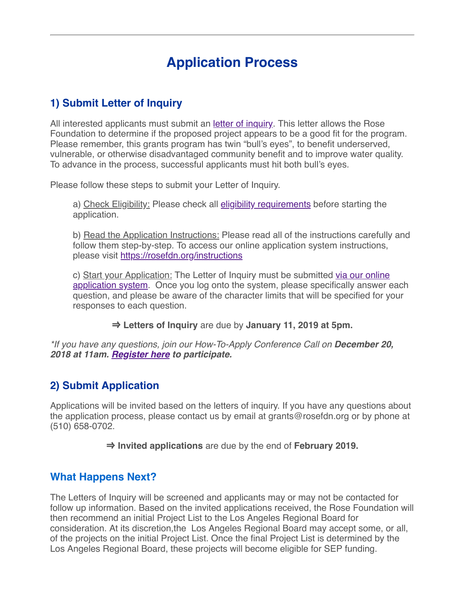## **Application Process**

### **1) Submit Letter of Inquiry**

All interested applicants must submit an *letter of inquiry*. This letter allows the Rose Foundation to determine if the proposed project appears to be a good fit for the program. Please remember, this grants program has twin "bull's eyes", to benefit underserved, vulnerable, or otherwise disadvantaged community benefit and to improve water quality. To advance in the process, successful applicants must hit both bull's eyes.

Please follow these steps to submit your Letter of Inquiry.

a) Check Eligibility: Please check all eligibility requirements before starting the application.

b) Read the Application Instructions: Please read all of the instructions carefully and follow them step-by-step. To access our online application system instructions, please visit https://rosefdn.org/instructions

c) Start your Application: The Letter of Inquiry must be submitted via our online application system. Once you log onto the system, please specifically answer each question, and please be aware of the character limits that will be specified for your responses to each question.

 $\Rightarrow$  **Letters of Inquiry** are due by **January 11, 2019 at 5pm.** 

\*If you have any questions, join our How-To-Apply Conference Call on **December 20, 2018 at 11am. Register here to participate.**

#### **2) Submit Application**

Applications will be invited based on the letters of inquiry. If you have any questions about the application process, please contact us by email at grants@rosefdn.org or by phone at (510) 658-0702.

 $\Rightarrow$  **Invited applications** are due by the end of **February 2019.** 

#### **What Happens Next?**

The Letters of Inquiry will be screened and applicants may or may not be contacted for follow up information. Based on the invited applications received, the Rose Foundation will then recommend an initial Project List to the Los Angeles Regional Board for consideration. At its discretion,the Los Angeles Regional Board may accept some, or all, of the projects on the initial Project List. Once the final Project List is determined by the Los Angeles Regional Board, these projects will become eligible for SEP funding.